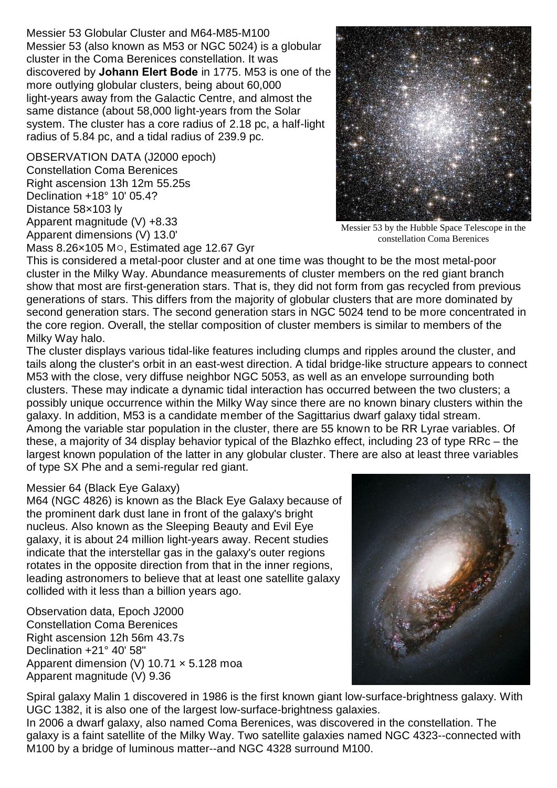Messier 53 Globular Cluster and M64-M85-M100 Messier 53 (also known as M53 or NGC 5024) is a globular cluster in the Coma Berenices constellation. It was discovered by **Johann Elert Bode** in 1775. M53 is one of the more outlying globular clusters, being about 60,000 light-years away from the Galactic Centre, and almost the same distance (about 58,000 light-years from the Solar system. The cluster has a core radius of 2.18 pc, a half-light radius of 5.84 pc, and a tidal radius of 239.9 pc.

OBSERVATION DATA (J2000 epoch) Constellation Coma Berenices Right ascension 13h 12m 55.25s Declination +18° 10' 05.4? Distance 58×103 ly Apparent magnitude (V) +8.33 Apparent dimensions (V) 13.0'



Messier 53 by the Hubble Space Telescope in the constellation Coma Berenices

Mass  $8.26 \times 105$  M $\circ$ , Estimated age 12.67 Gyr

This is considered a metal-poor cluster and at one time was thought to be the most metal-poor cluster in the Milky Way. Abundance measurements of cluster members on the red giant branch show that most are first-generation stars. That is, they did not form from gas recycled from previous generations of stars. This differs from the majority of globular clusters that are more dominated by second generation stars. The second generation stars in NGC 5024 tend to be more concentrated in the core region. Overall, the stellar composition of cluster members is similar to members of the Milky Way halo.

The cluster displays various tidal-like features including clumps and ripples around the cluster, and tails along the cluster's orbit in an east-west direction. A tidal bridge-like structure appears to connect M53 with the close, very diffuse neighbor NGC 5053, as well as an envelope surrounding both clusters. These may indicate a dynamic tidal interaction has occurred between the two clusters; a possibly unique occurrence within the Milky Way since there are no known binary clusters within the galaxy. In addition, M53 is a candidate member of the Sagittarius dwarf galaxy tidal stream. Among the variable star population in the cluster, there are 55 known to be RR Lyrae variables. Of these, a majority of 34 display behavior typical of the Blazhko effect, including 23 of type RRc – the largest known population of the latter in any globular cluster. There are also at least three variables of type SX Phe and a semi-regular red giant.

## Messier 64 (Black Eye Galaxy)

M64 (NGC 4826) is known as the Black Eye Galaxy because of the prominent dark dust lane in front of the galaxy's bright nucleus. Also known as the Sleeping Beauty and Evil Eye galaxy, it is about 24 million light-years away. Recent studies indicate that the interstellar gas in the galaxy's outer regions rotates in the opposite direction from that in the inner regions, leading astronomers to believe that at least one satellite galaxy collided with it less than a billion years ago.

Observation data, Epoch J2000 Constellation Coma Berenices Right ascension 12h 56m 43.7s Declination +21° 40' 58" Apparent dimension (V) 10.71  $\times$  5.128 moa Apparent magnitude (V) 9.36



Spiral galaxy Malin 1 discovered in 1986 is the first known giant low-surface-brightness galaxy. With UGC 1382, it is also one of the largest low-surface-brightness galaxies.

In 2006 a dwarf galaxy, also named Coma Berenices, was discovered in the constellation. The galaxy is a faint satellite of the Milky Way. Two satellite galaxies named NGC 4323--connected with M100 by a bridge of luminous matter--and NGC 4328 surround M100.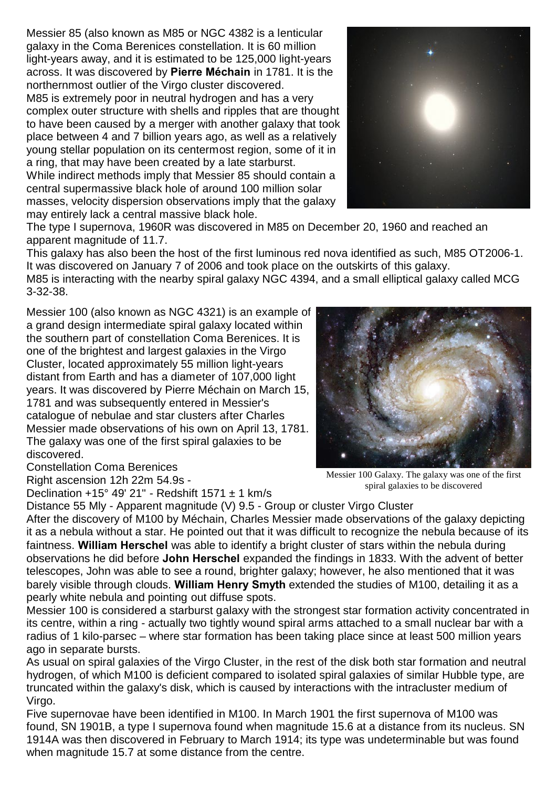Messier 85 (also known as M85 or NGC 4382 is a lenticular galaxy in the Coma Berenices constellation. It is 60 million light-years away, and it is estimated to be 125,000 light-years across. It was discovered by **Pierre Méchain** in 1781. It is the northernmost outlier of the Virgo cluster discovered.

M85 is extremely poor in neutral hydrogen and has a very complex outer structure with shells and ripples that are thought to have been caused by a merger with another galaxy that took place between 4 and 7 billion years ago, as well as a relatively young stellar population on its centermost region, some of it in a ring, that may have been created by a late starburst. While indirect methods imply that Messier 85 should contain a central supermassive black hole of around 100 million solar

masses, velocity dispersion observations imply that the galaxy may entirely lack a central massive black hole.



The type I supernova, 1960R was discovered in M85 on December 20, 1960 and reached an apparent magnitude of 11.7.

This galaxy has also been the host of the first luminous red nova identified as such, M85 OT2006-1. It was discovered on January 7 of 2006 and took place on the outskirts of this galaxy.

M85 is interacting with the nearby spiral galaxy NGC 4394, and a small elliptical galaxy called MCG 3-32-38.

Messier 100 (also known as NGC 4321) is an example of a grand design intermediate spiral galaxy located within the southern part of constellation Coma Berenices. It is one of the brightest and largest galaxies in the Virgo Cluster, located approximately 55 million light-years distant from Earth and has a diameter of 107,000 light years. It was discovered by Pierre Méchain on March 15, 1781 and was subsequently entered in Messier's catalogue of nebulae and star clusters after Charles Messier made observations of his own on April 13, 1781. The galaxy was one of the first spiral galaxies to be discovered.



Constellation Coma Berenices

Right ascension 12h 22m 54.9s -

Declination +15 $^{\circ}$  49' 21" - Redshift 1571  $\pm$  1 km/s

Messier 100 Galaxy. The galaxy was one of the first spiral galaxies to be discovered

Distance 55 Mly - Apparent magnitude (V) 9.5 - Group or cluster Virgo Cluster After the discovery of M100 by Méchain, Charles Messier made observations of the galaxy depicting it as a nebula without a star. He pointed out that it was difficult to recognize the nebula because of its faintness. **William Herschel** was able to identify a bright cluster of stars within the nebula during observations he did before **John Herschel** expanded the findings in 1833. With the advent of better telescopes, John was able to see a round, brighter galaxy; however, he also mentioned that it was barely visible through clouds. **William Henry Smyth** extended the studies of M100, detailing it as a pearly white nebula and pointing out diffuse spots.

Messier 100 is considered a starburst galaxy with the strongest star formation activity concentrated in its centre, within a ring - actually two tightly wound spiral arms attached to a small nuclear bar with a radius of 1 kilo-parsec – where star formation has been taking place since at least 500 million years ago in separate bursts.

As usual on spiral galaxies of the Virgo Cluster, in the rest of the disk both star formation and neutral hydrogen, of which M100 is deficient compared to isolated spiral galaxies of similar Hubble type, are truncated within the galaxy's disk, which is caused by interactions with the intracluster medium of Virgo.

Five supernovae have been identified in M100. In March 1901 the first supernova of M100 was found, SN 1901B, a type I supernova found when magnitude 15.6 at a distance from its nucleus. SN 1914A was then discovered in February to March 1914; its type was undeterminable but was found when magnitude 15.7 at some distance from the centre.